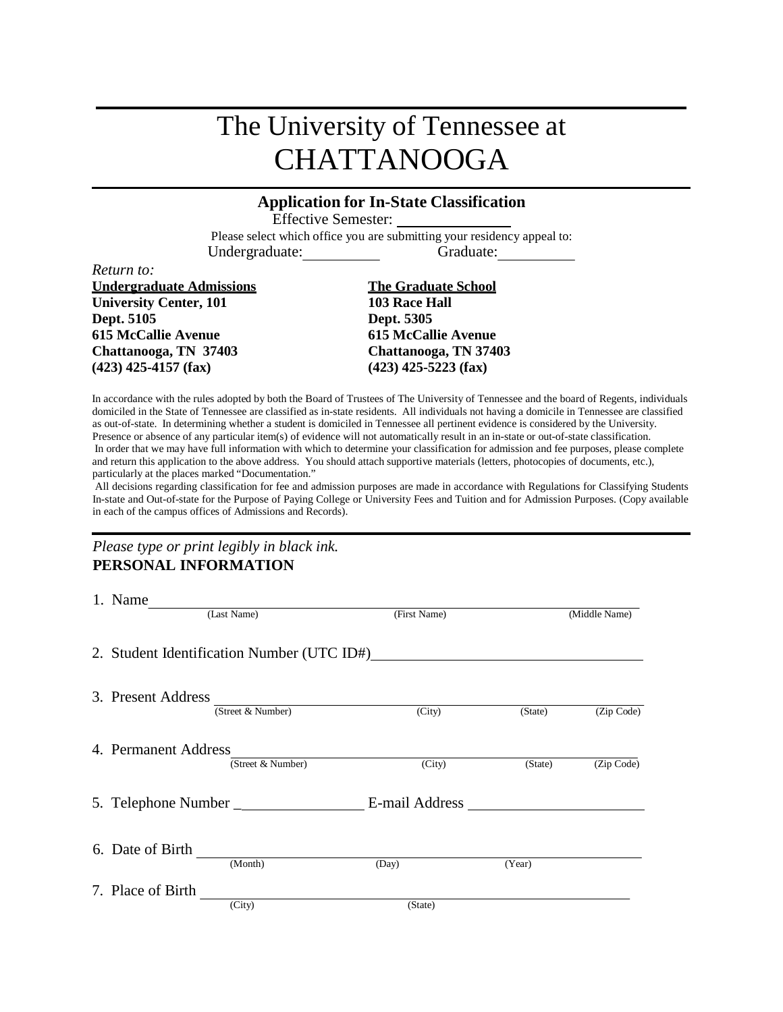# The University of Tennessee at CHATTANOOGA

## **Application for In-State Classification**

Effective Semester:

Please select which office you are submitting your residency appeal to: Undergraduate: Graduate:

*Return to:*

**Undergraduate Admissions The Graduate School University Center, 101** 103 Race Hall **Dept. 5105 Dept. 5305 615 McCallie Avenue 615 McCallie Avenue Chattanooga, TN 37403 Chattanooga, TN 37403 (423) 425-4157 (fax) (423) 425-5223 (fax)**

In accordance with the rules adopted by both the Board of Trustees of The University of Tennessee and the board of Regents, individuals domiciled in the State of Tennessee are classified as in-state residents. All individuals not having a domicile in Tennessee are classified as out-of-state. In determining whether a student is domiciled in Tennessee all pertinent evidence is considered by the University. Presence or absence of any particular item(s) of evidence will not automatically result in an in-state or out-of-state classification. In order that we may have full information with which to determine your classification for admission and fee purposes, please complete and return this application to the above address. You should attach supportive materials (letters, photocopies of documents, etc.), particularly at the places marked "Documentation."

All decisions regarding classification for fee and admission purposes are made in accordance with Regulations for Classifying Students In-state and Out-of-state for the Purpose of Paying College or University Fees and Tuition and for Admission Purposes. (Copy available in each of the campus offices of Admissions and Records).

*Please type or print legibly in black ink.* **PERSONAL INFORMATION**

| 1. Name              |                                            |                |         |               |
|----------------------|--------------------------------------------|----------------|---------|---------------|
|                      | (Last Name)                                | (First Name)   |         | (Middle Name) |
|                      | 2. Student Identification Number (UTC ID#) |                |         |               |
| 3. Present Address   |                                            |                |         |               |
|                      | (Street & Number)                          | (City)         | (State) | (Zip Code)    |
| 4. Permanent Address | (Street & Number)                          | (City)         | (State) | (Zip Code)    |
|                      | 5. Telephone Number _                      | E-mail Address |         |               |
| 6. Date of Birth     | (Month)                                    | (Day)          | (Year)  |               |
| 7. Place of Birth    |                                            |                |         |               |
|                      | (City)                                     | (State)        |         |               |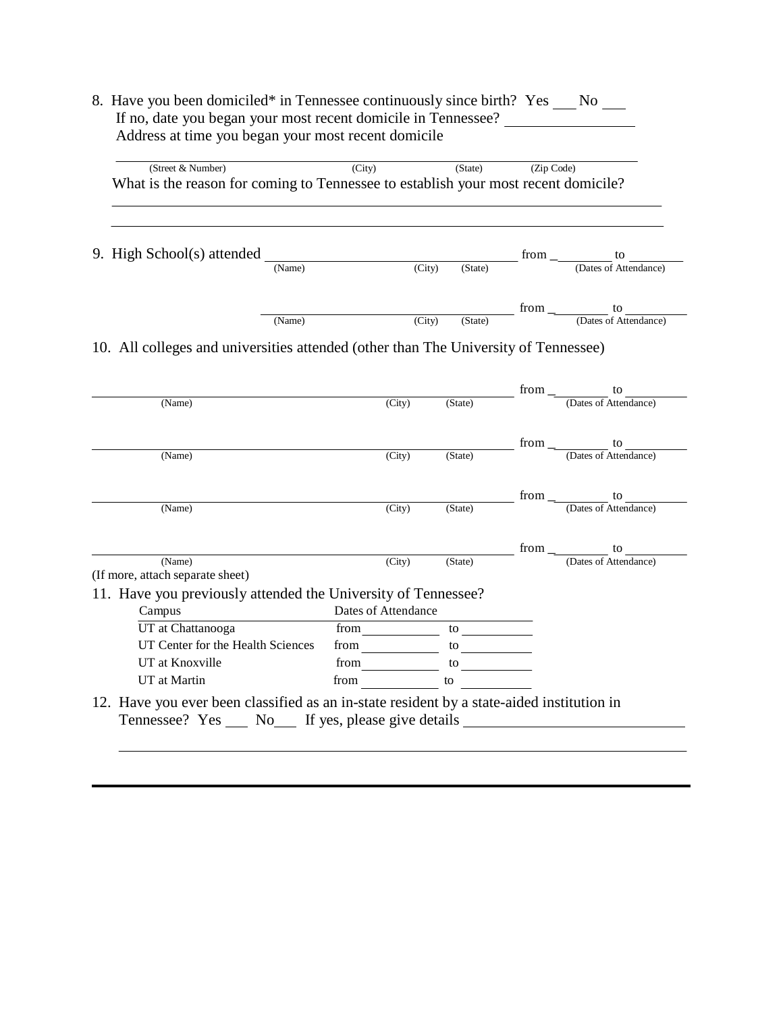| (Street & Number)                                                                  | (City) |        | (State) | (Zip Code)  |                             |
|------------------------------------------------------------------------------------|--------|--------|---------|-------------|-----------------------------|
| What is the reason for coming to Tennessee to establish your most recent domicile? |        |        |         |             |                             |
|                                                                                    |        |        |         |             |                             |
| 9. High School(s) attended                                                         | (Name) | (City) | (State) | from $\_\_$ | to<br>(Dates of Attendance) |
|                                                                                    |        |        |         |             |                             |
|                                                                                    |        |        |         | from        | to                          |
|                                                                                    | (Name) | (City) | (State) |             | (Dates of Attendance)       |

|                                                                                                                                                       |                     |                | пош  | w                                                                     |
|-------------------------------------------------------------------------------------------------------------------------------------------------------|---------------------|----------------|------|-----------------------------------------------------------------------|
| (Name)                                                                                                                                                | (City)              | (State)        |      | (Dates of Attendance)                                                 |
|                                                                                                                                                       |                     |                |      | from $\qquad \qquad \qquad$<br>to                                     |
| (Name)                                                                                                                                                | (City)              | (State)        |      | (Dates of Attendance)                                                 |
|                                                                                                                                                       |                     |                |      | from $\frac{1}{\sqrt{1-\frac{1}{2}}\left(1-\frac{1}{2}\right)}$<br>to |
| (Name)                                                                                                                                                | (City)              | (State)        |      | (Dates of Attendance)                                                 |
|                                                                                                                                                       |                     |                | from | to                                                                    |
| (Name)                                                                                                                                                | (City)              | (State)        |      | (Dates of Attendance)                                                 |
| (If more, attach separate sheet)                                                                                                                      |                     |                |      |                                                                       |
| 11. Have you previously attended the University of Tennessee?                                                                                         |                     |                |      |                                                                       |
| Campus                                                                                                                                                | Dates of Attendance |                |      |                                                                       |
| UT at Chattanooga                                                                                                                                     | from                | $\frac{10}{2}$ |      |                                                                       |
| UT Center for the Health Sciences                                                                                                                     | from                | to             |      |                                                                       |
| UT at Knoxville                                                                                                                                       | from                | to             |      |                                                                       |
| UT at Martin                                                                                                                                          | from                | to             |      |                                                                       |
| 12. Have you ever been classified as an in-state resident by a state-aided institution in<br>Tennessee? Yes _____ No_____ If yes, please give details |                     |                |      |                                                                       |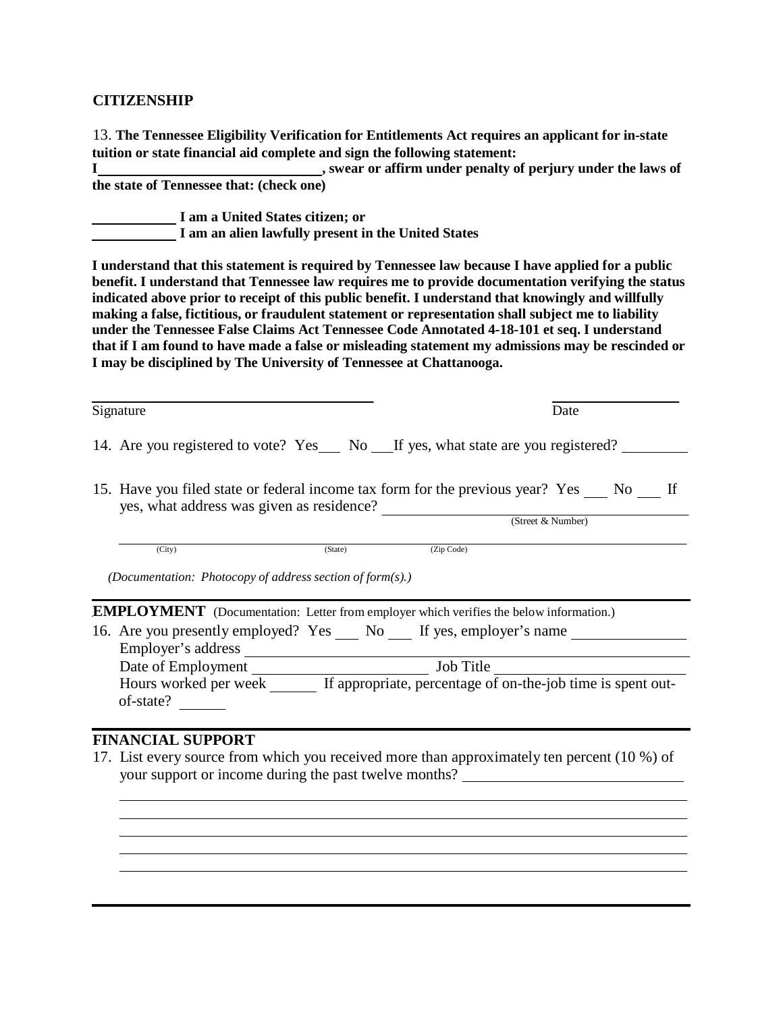#### **CITIZENSHIP**

13. **The Tennessee Eligibility Verification for Entitlements Act requires an applicant for in-state tuition or state financial aid complete and sign the following statement:**

**I , swear or affirm under penalty of perjury under the laws of the state of Tennessee that: (check one)**

**I am a United States citizen; or I am an alien lawfully present in the United States**

**I understand that this statement is required by Tennessee law because I have applied for a public benefit. I understand that Tennessee law requires me to provide documentation verifying the status indicated above prior to receipt of this public benefit. I understand that knowingly and willfully making a false, fictitious, or fraudulent statement or representation shall subject me to liability under the Tennessee False Claims Act Tennessee Code Annotated 4-18-101 et seq. I understand that if I am found to have made a false or misleading statement my admissions may be rescinded or I may be disciplined by The University of Tennessee at Chattanooga.**

| Signature                                                                            | Date                                                                                                            |
|--------------------------------------------------------------------------------------|-----------------------------------------------------------------------------------------------------------------|
|                                                                                      | 14. Are you registered to vote? Yes ___ No ___ If yes, what state are you registered? ___                       |
| yes, what address was given as residence?                                            | 15. Have you filed state or federal income tax form for the previous year? Yes No If                            |
|                                                                                      | (Street & Number)                                                                                               |
| (City)<br>(State)                                                                    | (Zip Code)                                                                                                      |
| (Documentation: Photocopy of address section of form(s).)                            | <b>EMPLOYMENT</b> (Documentation: Letter from employer which verifies the below information.)                   |
| 16. Are you presently employed? Yes No If yes, employer's name<br>Employer's address |                                                                                                                 |
|                                                                                      |                                                                                                                 |
| of-state?                                                                            | Date of Employment<br>Hours worked per week _______ If appropriate, percentage of on-the-job time is spent out- |
|                                                                                      |                                                                                                                 |

your support or income during the past twelve months?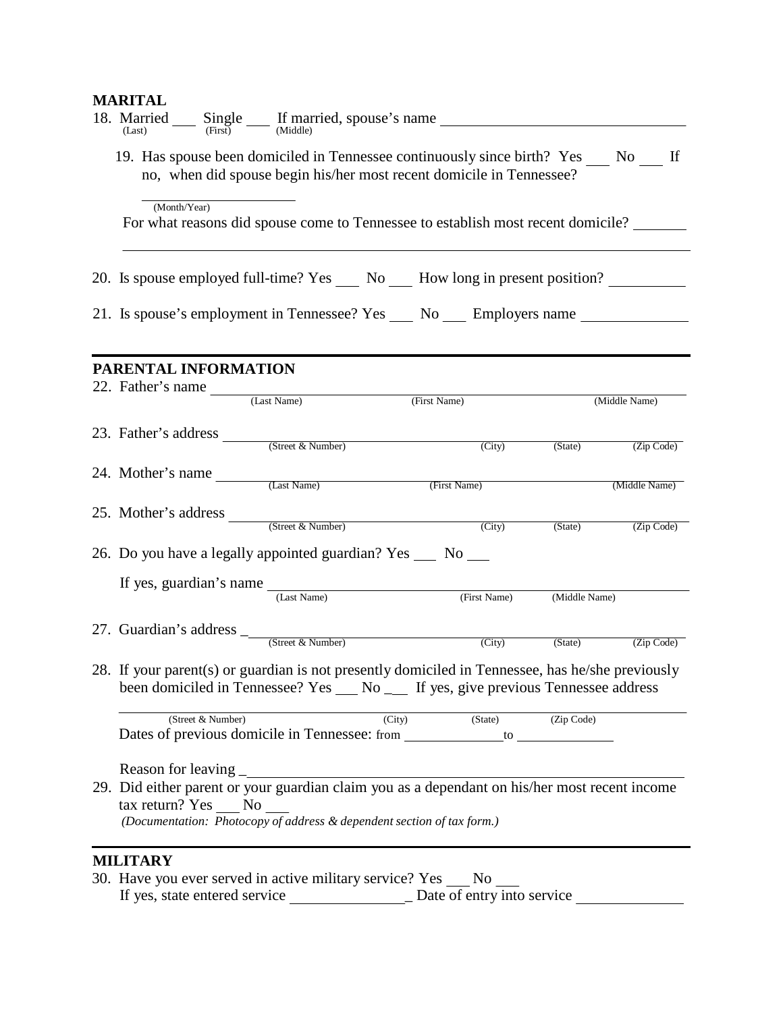# **MARITAL**

| 18. Married $S_{\text{(Last)}}$ $\text{Single}$ $\text{If}$ married, spouse's name $\text{Time}$                                                                                      |                     |              |                     |               |                    |
|---------------------------------------------------------------------------------------------------------------------------------------------------------------------------------------|---------------------|--------------|---------------------|---------------|--------------------|
| 19. Has spouse been domiciled in Tennessee continuously since birth? Yes No If<br>no, when did spouse begin his/her most recent domicile in Tennessee?                                |                     |              |                     |               |                    |
| (Month/Year)<br>For what reasons did spouse come to Tennessee to establish most recent domicile?                                                                                      |                     |              |                     |               |                    |
| 20. Is spouse employed full-time? Yes ___ No ___ How long in present position? ________                                                                                               |                     |              |                     |               |                    |
| 21. Is spouse's employment in Tennessee? Yes ___ No ___ Employers name _________                                                                                                      |                     |              |                     |               |                    |
| PARENTAL INFORMATION                                                                                                                                                                  |                     |              |                     |               |                    |
| 22. Father's name $\frac{1}{(Last Name)}$                                                                                                                                             |                     | (First Name) |                     |               | (Middle Name)      |
| 23. Father's address $\frac{1}{(Street & Number)}$                                                                                                                                    |                     |              | $\overline{(City)}$ |               | (State) (Zip Code) |
| 24. Mother's name (Last Name)                                                                                                                                                         |                     | (First Name) |                     |               | (Middle Name)      |
| 25. Mother's address (Street & Number) (City)                                                                                                                                         |                     |              |                     | (State)       | (Zip Code)         |
| 26. Do you have a legally appointed guardian? Yes ___ No ___                                                                                                                          |                     |              |                     |               |                    |
| If yes, guardian's name $\frac{1}{(Last Name)}$                                                                                                                                       |                     |              | (First Name)        | (Middle Name) |                    |
| 27. Guardian's address $\frac{1}{\sqrt{\text{Street } R \text{ Number}}}$                                                                                                             |                     |              | $\overline{(City)}$ | (State)       | (Zip Code)         |
| 28. If your parent(s) or guardian is not presently domiciled in Tennessee, has he/she previously<br>been domiciled in Tennessee? Yes __ No __ If yes, give previous Tennessee address |                     |              |                     |               |                    |
| (Street & Number)<br>Dates of previous domicile in Tennessee: from ______________ to ________________                                                                                 | $\overline{(City)}$ |              | (State)             | (Zip Code)    |                    |
| tax return? Yes No<br>(Documentation: Photocopy of address & dependent section of tax form.)                                                                                          |                     |              |                     |               |                    |
| <b>MILITARY</b><br>30. Have you ever served in active military service? Yes                                                                                                           |                     |              | N <sub>0</sub>      |               |                    |

If yes, state entered service \_ Date of entry into service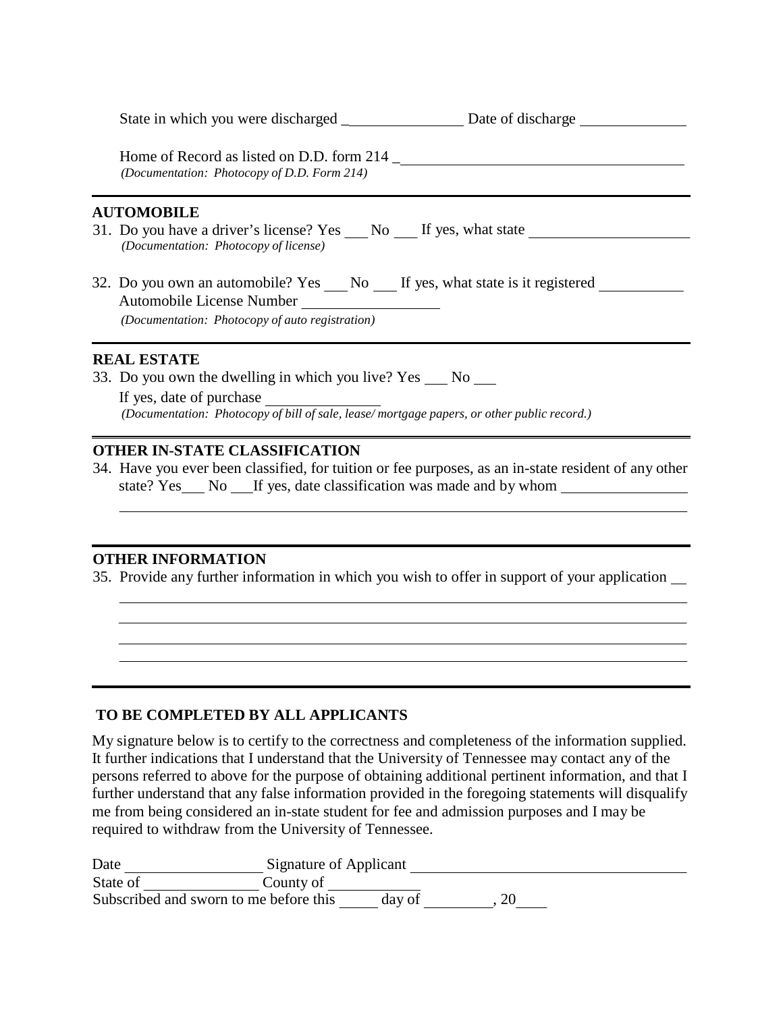State in which you were discharged \_ Date of discharge Date of discharge

Home of Record as listed on D.D. form 214 \_ *(Documentation: Photocopy of D.D. Form 214)*

#### **AUTOMOBILE**

- 31. Do you have a driver's license? Yes No If yes, what state *(Documentation: Photocopy of license)*
- 32. Do you own an automobile? Yes \_\_\_ No \_\_\_ If yes, what state is it registered Automobile License Number *(Documentation: Photocopy of auto registration)*

#### **REAL ESTATE**

33. Do you own the dwelling in which you live?  $Yes \_ No \_ No$ 

If yes, date of purchase *(Documentation: Photocopy of bill of sale, lease/ mortgage papers, or other public record.)*

#### **OTHER IN-STATE CLASSIFICATION**

34. Have you ever been classified, for tuition or fee purposes, as an in-state resident of any other state? Yes No If yes, date classification was made and by whom

#### **OTHER INFORMATION**

35. Provide any further information in which you wish to offer in support of your application

### **TO BE COMPLETED BY ALL APPLICANTS**

My signature below is to certify to the correctness and completeness of the information supplied. It further indications that I understand that the University of Tennessee may contact any of the persons referred to above for the purpose of obtaining additional pertinent information, and that I further understand that any false information provided in the foregoing statements will disqualify me from being considered an in-state student for fee and admission purposes and I may be required to withdraw from the University of Tennessee.

| Date                                   | Signature of Applicant |
|----------------------------------------|------------------------|
| State of                               | County of              |
| Subscribed and sworn to me before this | day of<br>∠∪           |